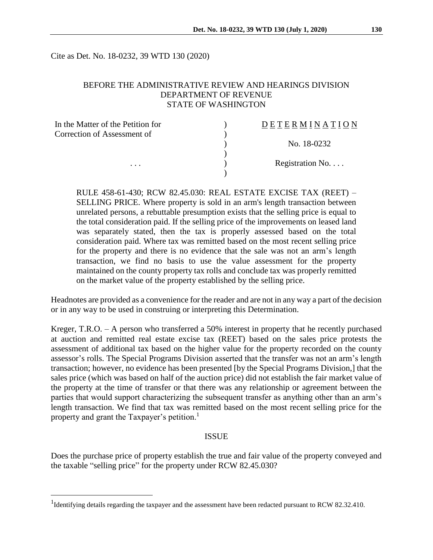Cite as Det. No. 18-0232, 39 WTD 130 (2020)

## BEFORE THE ADMINISTRATIVE REVIEW AND HEARINGS DIVISION DEPARTMENT OF REVENUE STATE OF WASHINGTON

| In the Matter of the Petition for | DETERMINATION   |
|-----------------------------------|-----------------|
| Correction of Assessment of       |                 |
|                                   | No. 18-0232     |
|                                   |                 |
| $\cdots$                          | Registration No |
|                                   |                 |

RULE 458-61-430; RCW 82.45.030: REAL ESTATE EXCISE TAX (REET) – SELLING PRICE. Where property is sold in an arm's length transaction between unrelated persons, a rebuttable presumption exists that the selling price is equal to the total consideration paid. If the selling price of the improvements on leased land was separately stated, then the tax is properly assessed based on the total consideration paid. Where tax was remitted based on the most recent selling price for the property and there is no evidence that the sale was not an arm's length transaction, we find no basis to use the value assessment for the property maintained on the county property tax rolls and conclude tax was properly remitted on the market value of the property established by the selling price.

Headnotes are provided as a convenience for the reader and are not in any way a part of the decision or in any way to be used in construing or interpreting this Determination.

Kreger, T.R.O. – A person who transferred a 50% interest in property that he recently purchased at auction and remitted real estate excise tax (REET) based on the sales price protests the assessment of additional tax based on the higher value for the property recorded on the county assessor's rolls. The Special Programs Division asserted that the transfer was not an arm's length transaction; however, no evidence has been presented [by the Special Programs Division,] that the sales price (which was based on half of the auction price) did not establish the fair market value of the property at the time of transfer or that there was any relationship or agreement between the parties that would support characterizing the subsequent transfer as anything other than an arm's length transaction. We find that tax was remitted based on the most recent selling price for the property and grant the Taxpayer's petition.<sup>1</sup>

#### ISSUE

Does the purchase price of property establish the true and fair value of the property conveyed and the taxable "selling price" for the property under RCW 82.45.030?

 $\overline{a}$ 

<sup>&</sup>lt;sup>1</sup>Identifying details regarding the taxpayer and the assessment have been redacted pursuant to RCW 82.32.410.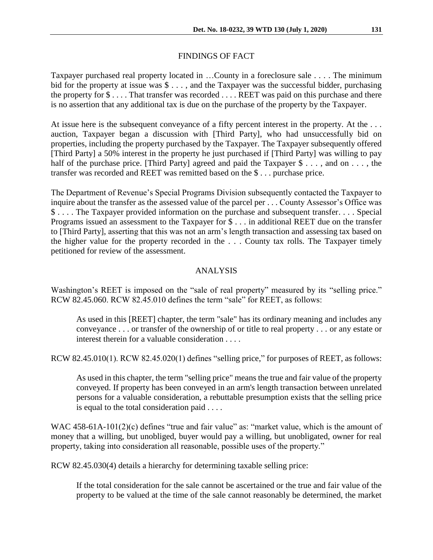## FINDINGS OF FACT

Taxpayer purchased real property located in …County in a foreclosure sale . . . . The minimum bid for the property at issue was  $\hat{\mathcal{S}}$ ..., and the Taxpayer was the successful bidder, purchasing the property for \$ . . . . That transfer was recorded . . . . REET was paid on this purchase and there is no assertion that any additional tax is due on the purchase of the property by the Taxpayer.

At issue here is the subsequent conveyance of a fifty percent interest in the property. At the ... auction, Taxpayer began a discussion with [Third Party], who had unsuccessfully bid on properties, including the property purchased by the Taxpayer. The Taxpayer subsequently offered [Third Party] a 50% interest in the property he just purchased if [Third Party] was willing to pay half of the purchase price. [Third Party] agreed and paid the Taxpayer \$ . . . , and on . . . , the transfer was recorded and REET was remitted based on the \$ . . . purchase price.

The Department of Revenue's Special Programs Division subsequently contacted the Taxpayer to inquire about the transfer as the assessed value of the parcel per . . . County Assessor's Office was \$ . . . . The Taxpayer provided information on the purchase and subsequent transfer. . . . Special Programs issued an assessment to the Taxpayer for \$ . . . in additional REET due on the transfer to [Third Party], asserting that this was not an arm's length transaction and assessing tax based on the higher value for the property recorded in the . . . County tax rolls. The Taxpayer timely petitioned for review of the assessment.

### ANALYSIS

Washington's REET is imposed on the "sale of real property" measured by its "selling price." RCW 82.45.060. RCW 82.45.010 defines the term "sale" for REET, as follows:

As used in this [REET] chapter, the term "sale" has its ordinary meaning and includes any conveyance . . . or transfer of the ownership of or title to real property . . . or any estate or interest therein for a valuable consideration . . . .

RCW 82.45.010(1). RCW 82.45.020(1) defines "selling price," for purposes of REET, as follows:

As used in this chapter, the term "selling price" means the true and fair value of the property conveyed. If property has been conveyed in an arm's length transaction between unrelated persons for a valuable consideration, a rebuttable presumption exists that the selling price is equal to the total consideration paid . . . .

WAC  $458-61A-101(2)(c)$  defines "true and fair value" as: "market value, which is the amount of money that a willing, but unobliged, buyer would pay a willing, but unobligated, owner for real property, taking into consideration all reasonable, possible uses of the property."

RCW 82.45.030(4) details a hierarchy for determining taxable selling price:

If the total consideration for the sale cannot be ascertained or the true and fair value of the property to be valued at the time of the sale cannot reasonably be determined, the market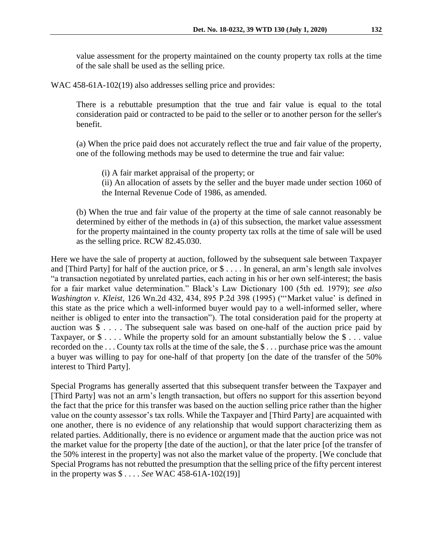value assessment for the property maintained on the county property tax rolls at the time of the sale shall be used as the selling price.

WAC 458-61A-102(19) also addresses selling price and provides:

There is a rebuttable presumption that the true and fair value is equal to the total consideration paid or contracted to be paid to the seller or to another person for the seller's benefit.

(a) When the price paid does not accurately reflect the true and fair value of the property, one of the following methods may be used to determine the true and fair value:

(i) A fair market appraisal of the property; or (ii) An allocation of assets by the seller and the buyer made under section 1060 of the Internal Revenue Code of 1986, as amended.

(b) When the true and fair value of the property at the time of sale cannot reasonably be determined by either of the methods in (a) of this subsection, the market value assessment for the property maintained in the county property tax rolls at the time of sale will be used as the selling price. RCW 82.45.030.

Here we have the sale of property at auction, followed by the subsequent sale between Taxpayer and [Third Party] for half of the auction price, or \$ . . . . In general, an arm's length sale involves "a transaction negotiated by unrelated parties, each acting in his or her own self-interest; the basis for a fair market value determination." Black's Law Dictionary 100 (5th ed. 1979); *see also Washington v. Kleist*, 126 Wn.2d 432, 434, 895 P.2d 398 (1995) ("'Market value' is defined in this state as the price which a well-informed buyer would pay to a well-informed seller, where neither is obliged to enter into the transaction"). The total consideration paid for the property at auction was \$ . . . . The subsequent sale was based on one-half of the auction price paid by Taxpayer, or  $\$ \dots$  While the property sold for an amount substantially below the  $\$ \dots$  value recorded on the . . . County tax rolls at the time of the sale, the \$ . . . purchase price was the amount a buyer was willing to pay for one-half of that property [on the date of the transfer of the 50% interest to Third Party].

Special Programs has generally asserted that this subsequent transfer between the Taxpayer and [Third Party] was not an arm's length transaction, but offers no support for this assertion beyond the fact that the price for this transfer was based on the auction selling price rather than the higher value on the county assessor's tax rolls. While the Taxpayer and [Third Party] are acquainted with one another, there is no evidence of any relationship that would support characterizing them as related parties. Additionally, there is no evidence or argument made that the auction price was not the market value for the property [the date of the auction], or that the later price [of the transfer of the 50% interest in the property] was not also the market value of the property. [We conclude that Special Programs has not rebutted the presumption that the selling price of the fifty percent interest in the property was \$ . . . . *See* WAC 458-61A-102(19)]